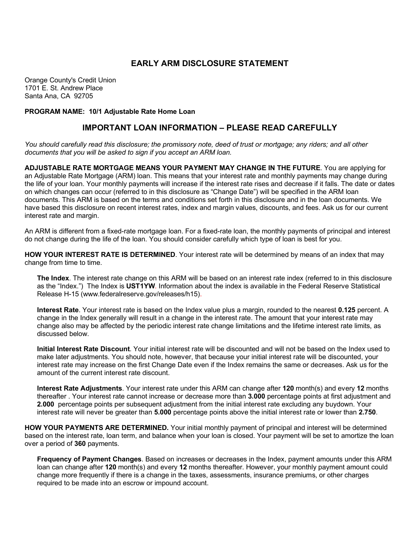## **EARLY ARM DISCLOSURE STATEMENT**

Orange County's Credit Union 1701 E. St. Andrew Place Santa Ana, CA 92705

**PROGRAM NAME: 10/1 Adjustable Rate Home Loan**

## **IMPORTANT LOAN INFORMATION – PLEASE READ CAREFULLY**

*You should carefully read this disclosure; the promissory note, deed of trust or mortgage; any riders; and all other documents that you will be asked to sign if you accept an ARM loan.*

**ADJUSTABLE RATE MORTGAGE MEANS YOUR PAYMENT MAY CHANGE IN THE FUTURE**. You are applying for an Adjustable Rate Mortgage (ARM) loan. This means that your interest rate and monthly payments may change during the life of your loan. Your monthly payments will increase if the interest rate rises and decrease if it falls. The date or dates on which changes can occur (referred to in this disclosure as "Change Date") will be specified in the ARM loan documents. This ARM is based on the terms and conditions set forth in this disclosure and in the loan documents. We have based this disclosure on recent interest rates, index and margin values, discounts, and fees. Ask us for our current interest rate and margin.

An ARM is different from a fixed-rate mortgage loan. For a fixed-rate loan, the monthly payments of principal and interest do not change during the life of the loan. You should consider carefully which type of loan is best for you.

**HOW YOUR INTEREST RATE IS DETERMINED**. Your interest rate will be determined by means of an index that may change from time to time.

**The Index**. The interest rate change on this ARM will be based on an interest rate index (referred to in this disclosure as the "Index.") The Index is **UST1YW**. Information about the index is available in the Federal Reserve Statistical Release H-15 (www.federalreserve.gov/releases/h15).

**Interest Rate**. Your interest rate is based on the Index value plus a margin, rounded to the nearest **0.125** percent. A change in the Index generally will result in a change in the interest rate. The amount that your interest rate may change also may be affected by the periodic interest rate change limitations and the lifetime interest rate limits, as discussed below.

**Initial Interest Rate Discount**. Your initial interest rate will be discounted and will not be based on the Index used to make later adjustments. You should note, however, that because your initial interest rate will be discounted, your interest rate may increase on the first Change Date even if the Index remains the same or decreases. Ask us for the amount of the current interest rate discount.

**Interest Rate Adjustments**. Your interest rate under this ARM can change after **120** month(s) and every **12** months thereafter . Your interest rate cannot increase or decrease more than **3.000** percentage points at first adjustment and **2.000** percentage points per subsequent adjustment from the initial interest rate excluding any buydown. Your interest rate will never be greater than **5.000** percentage points above the initial interest rate or lower than **2.750**.

**HOW YOUR PAYMENTS ARE DETERMINED.** Your initial monthly payment of principal and interest will be determined based on the interest rate, loan term, and balance when your loan is closed. Your payment will be set to amortize the loan over a period of **360** payments.

**Frequency of Payment Changes**. Based on increases or decreases in the Index, payment amounts under this ARM loan can change after **120** month(s) and every **12** months thereafter. However, your monthly payment amount could change more frequently if there is a change in the taxes, assessments, insurance premiums, or other charges required to be made into an escrow or impound account.